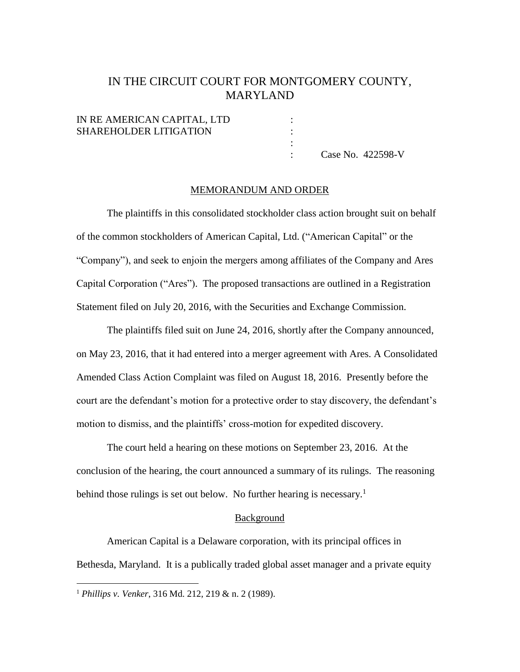# IN THE CIRCUIT COURT FOR MONTGOMERY COUNTY, MARYLAND

## IN RE AMERICAN CAPITAL, LTD : SHAREHOLDER LITIGATION

: Case No. 422598-V

#### MEMORANDUM AND ORDER

:

The plaintiffs in this consolidated stockholder class action brought suit on behalf of the common stockholders of American Capital, Ltd. ("American Capital" or the "Company"), and seek to enjoin the mergers among affiliates of the Company and Ares Capital Corporation ("Ares"). The proposed transactions are outlined in a Registration Statement filed on July 20, 2016, with the Securities and Exchange Commission.

The plaintiffs filed suit on June 24, 2016, shortly after the Company announced, on May 23, 2016, that it had entered into a merger agreement with Ares. A Consolidated Amended Class Action Complaint was filed on August 18, 2016. Presently before the court are the defendant's motion for a protective order to stay discovery, the defendant's motion to dismiss, and the plaintiffs' cross-motion for expedited discovery.

The court held a hearing on these motions on September 23, 2016. At the conclusion of the hearing, the court announced a summary of its rulings. The reasoning behind those rulings is set out below. No further hearing is necessary.<sup>1</sup>

### **Background**

American Capital is a Delaware corporation, with its principal offices in Bethesda, Maryland. It is a publically traded global asset manager and a private equity

<sup>1</sup> *Phillips v. Venker*, 316 Md. 212, 219 & n. 2 (1989).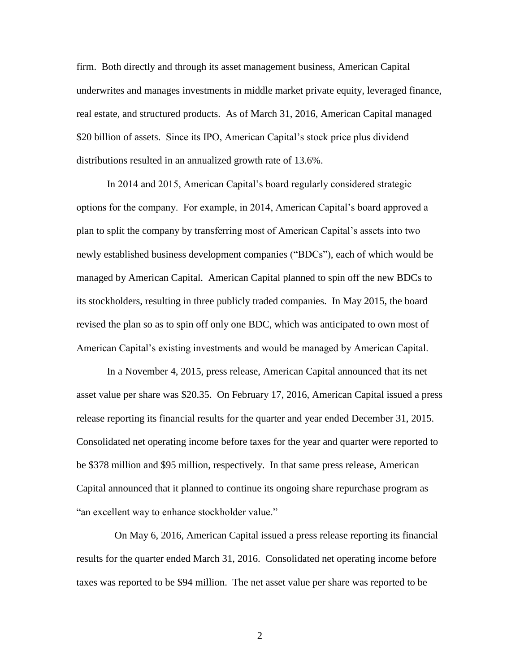firm. Both directly and through its asset management business, American Capital underwrites and manages investments in middle market private equity, leveraged finance, real estate, and structured products. As of March 31, 2016, American Capital managed \$20 billion of assets. Since its IPO, American Capital's stock price plus dividend distributions resulted in an annualized growth rate of 13.6%.

In 2014 and 2015, American Capital's board regularly considered strategic options for the company. For example, in 2014, American Capital's board approved a plan to split the company by transferring most of American Capital's assets into two newly established business development companies ("BDCs"), each of which would be managed by American Capital. American Capital planned to spin off the new BDCs to its stockholders, resulting in three publicly traded companies. In May 2015, the board revised the plan so as to spin off only one BDC, which was anticipated to own most of American Capital's existing investments and would be managed by American Capital.

In a November 4, 2015, press release, American Capital announced that its net asset value per share was \$20.35. On February 17, 2016, American Capital issued a press release reporting its financial results for the quarter and year ended December 31, 2015. Consolidated net operating income before taxes for the year and quarter were reported to be \$378 million and \$95 million, respectively. In that same press release, American Capital announced that it planned to continue its ongoing share repurchase program as "an excellent way to enhance stockholder value."

 On May 6, 2016, American Capital issued a press release reporting its financial results for the quarter ended March 31, 2016. Consolidated net operating income before taxes was reported to be \$94 million. The net asset value per share was reported to be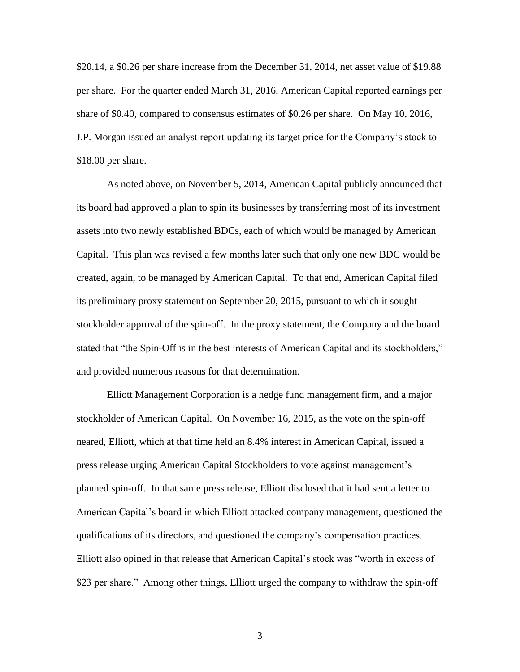\$20.14, a \$0.26 per share increase from the December 31, 2014, net asset value of \$19.88 per share. For the quarter ended March 31, 2016, American Capital reported earnings per share of \$0.40, compared to consensus estimates of \$0.26 per share. On May 10, 2016, J.P. Morgan issued an analyst report updating its target price for the Company's stock to \$18.00 per share.

As noted above, on November 5, 2014, American Capital publicly announced that its board had approved a plan to spin its businesses by transferring most of its investment assets into two newly established BDCs, each of which would be managed by American Capital. This plan was revised a few months later such that only one new BDC would be created, again, to be managed by American Capital. To that end, American Capital filed its preliminary proxy statement on September 20, 2015, pursuant to which it sought stockholder approval of the spin-off. In the proxy statement, the Company and the board stated that "the Spin-Off is in the best interests of American Capital and its stockholders," and provided numerous reasons for that determination.

Elliott Management Corporation is a hedge fund management firm, and a major stockholder of American Capital. On November 16, 2015, as the vote on the spin-off neared, Elliott, which at that time held an 8.4% interest in American Capital, issued a press release urging American Capital Stockholders to vote against management's planned spin-off. In that same press release, Elliott disclosed that it had sent a letter to American Capital's board in which Elliott attacked company management, questioned the qualifications of its directors, and questioned the company's compensation practices. Elliott also opined in that release that American Capital's stock was "worth in excess of \$23 per share." Among other things, Elliott urged the company to withdraw the spin-off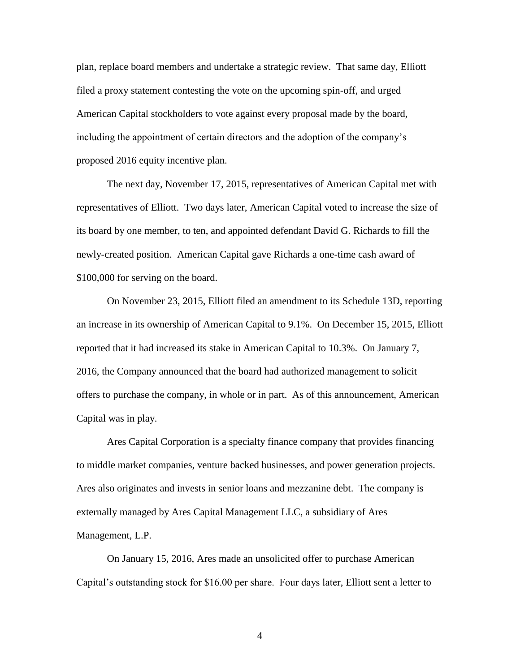plan, replace board members and undertake a strategic review. That same day, Elliott filed a proxy statement contesting the vote on the upcoming spin-off, and urged American Capital stockholders to vote against every proposal made by the board, including the appointment of certain directors and the adoption of the company's proposed 2016 equity incentive plan.

The next day, November 17, 2015, representatives of American Capital met with representatives of Elliott. Two days later, American Capital voted to increase the size of its board by one member, to ten, and appointed defendant David G. Richards to fill the newly-created position. American Capital gave Richards a one-time cash award of \$100,000 for serving on the board.

On November 23, 2015, Elliott filed an amendment to its Schedule 13D, reporting an increase in its ownership of American Capital to 9.1%. On December 15, 2015, Elliott reported that it had increased its stake in American Capital to 10.3%. On January 7, 2016, the Company announced that the board had authorized management to solicit offers to purchase the company, in whole or in part. As of this announcement, American Capital was in play.

Ares Capital Corporation is a specialty finance company that provides financing to middle market companies, venture backed businesses, and power generation projects. Ares also originates and invests in senior loans and mezzanine debt. The company is externally managed by Ares Capital Management LLC, a subsidiary of Ares Management, L.P.

On January 15, 2016, Ares made an unsolicited offer to purchase American Capital's outstanding stock for \$16.00 per share. Four days later, Elliott sent a letter to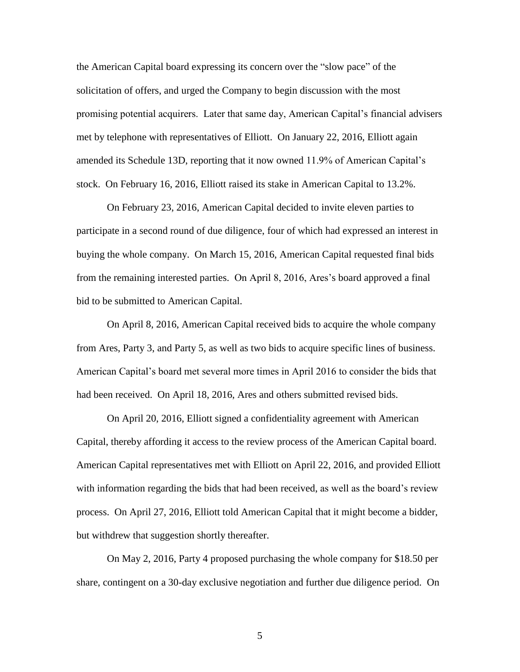the American Capital board expressing its concern over the "slow pace" of the solicitation of offers, and urged the Company to begin discussion with the most promising potential acquirers. Later that same day, American Capital's financial advisers met by telephone with representatives of Elliott. On January 22, 2016, Elliott again amended its Schedule 13D, reporting that it now owned 11.9% of American Capital's stock. On February 16, 2016, Elliott raised its stake in American Capital to 13.2%.

On February 23, 2016, American Capital decided to invite eleven parties to participate in a second round of due diligence, four of which had expressed an interest in buying the whole company. On March 15, 2016, American Capital requested final bids from the remaining interested parties. On April 8, 2016, Ares's board approved a final bid to be submitted to American Capital.

On April 8, 2016, American Capital received bids to acquire the whole company from Ares, Party 3, and Party 5, as well as two bids to acquire specific lines of business. American Capital's board met several more times in April 2016 to consider the bids that had been received. On April 18, 2016, Ares and others submitted revised bids.

On April 20, 2016, Elliott signed a confidentiality agreement with American Capital, thereby affording it access to the review process of the American Capital board. American Capital representatives met with Elliott on April 22, 2016, and provided Elliott with information regarding the bids that had been received, as well as the board's review process. On April 27, 2016, Elliott told American Capital that it might become a bidder, but withdrew that suggestion shortly thereafter.

On May 2, 2016, Party 4 proposed purchasing the whole company for \$18.50 per share, contingent on a 30-day exclusive negotiation and further due diligence period. On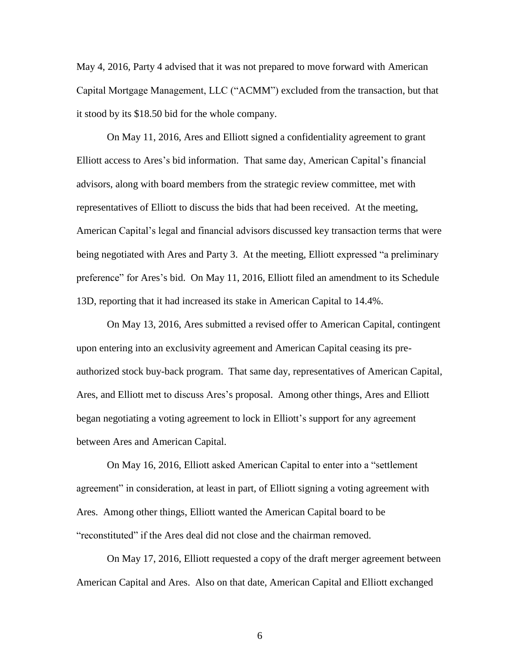May 4, 2016, Party 4 advised that it was not prepared to move forward with American Capital Mortgage Management, LLC ("ACMM") excluded from the transaction, but that it stood by its \$18.50 bid for the whole company.

On May 11, 2016, Ares and Elliott signed a confidentiality agreement to grant Elliott access to Ares's bid information. That same day, American Capital's financial advisors, along with board members from the strategic review committee, met with representatives of Elliott to discuss the bids that had been received. At the meeting, American Capital's legal and financial advisors discussed key transaction terms that were being negotiated with Ares and Party 3. At the meeting, Elliott expressed "a preliminary preference" for Ares's bid. On May 11, 2016, Elliott filed an amendment to its Schedule 13D, reporting that it had increased its stake in American Capital to 14.4%.

On May 13, 2016, Ares submitted a revised offer to American Capital, contingent upon entering into an exclusivity agreement and American Capital ceasing its preauthorized stock buy-back program. That same day, representatives of American Capital, Ares, and Elliott met to discuss Ares's proposal. Among other things, Ares and Elliott began negotiating a voting agreement to lock in Elliott's support for any agreement between Ares and American Capital.

On May 16, 2016, Elliott asked American Capital to enter into a "settlement agreement" in consideration, at least in part, of Elliott signing a voting agreement with Ares. Among other things, Elliott wanted the American Capital board to be "reconstituted" if the Ares deal did not close and the chairman removed.

On May 17, 2016, Elliott requested a copy of the draft merger agreement between American Capital and Ares. Also on that date, American Capital and Elliott exchanged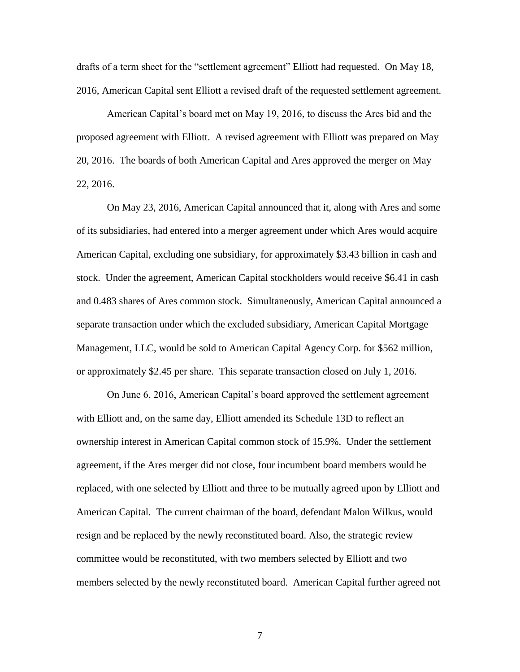drafts of a term sheet for the "settlement agreement" Elliott had requested. On May 18, 2016, American Capital sent Elliott a revised draft of the requested settlement agreement.

American Capital's board met on May 19, 2016, to discuss the Ares bid and the proposed agreement with Elliott. A revised agreement with Elliott was prepared on May 20, 2016. The boards of both American Capital and Ares approved the merger on May 22, 2016.

On May 23, 2016, American Capital announced that it, along with Ares and some of its subsidiaries, had entered into a merger agreement under which Ares would acquire American Capital, excluding one subsidiary, for approximately \$3.43 billion in cash and stock. Under the agreement, American Capital stockholders would receive \$6.41 in cash and 0.483 shares of Ares common stock. Simultaneously, American Capital announced a separate transaction under which the excluded subsidiary, American Capital Mortgage Management, LLC, would be sold to American Capital Agency Corp. for \$562 million, or approximately \$2.45 per share. This separate transaction closed on July 1, 2016.

On June 6, 2016, American Capital's board approved the settlement agreement with Elliott and, on the same day, Elliott amended its Schedule 13D to reflect an ownership interest in American Capital common stock of 15.9%. Under the settlement agreement, if the Ares merger did not close, four incumbent board members would be replaced, with one selected by Elliott and three to be mutually agreed upon by Elliott and American Capital. The current chairman of the board, defendant Malon Wilkus, would resign and be replaced by the newly reconstituted board. Also, the strategic review committee would be reconstituted, with two members selected by Elliott and two members selected by the newly reconstituted board. American Capital further agreed not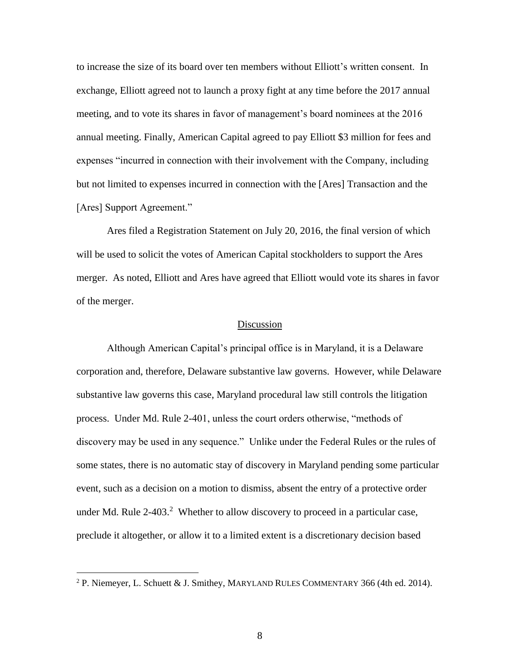to increase the size of its board over ten members without Elliott's written consent. In exchange, Elliott agreed not to launch a proxy fight at any time before the 2017 annual meeting, and to vote its shares in favor of management's board nominees at the 2016 annual meeting. Finally, American Capital agreed to pay Elliott \$3 million for fees and expenses "incurred in connection with their involvement with the Company, including but not limited to expenses incurred in connection with the [Ares] Transaction and the [Ares] Support Agreement."

Ares filed a Registration Statement on July 20, 2016, the final version of which will be used to solicit the votes of American Capital stockholders to support the Ares merger. As noted, Elliott and Ares have agreed that Elliott would vote its shares in favor of the merger.

#### Discussion

Although American Capital's principal office is in Maryland, it is a Delaware corporation and, therefore, Delaware substantive law governs. However, while Delaware substantive law governs this case, Maryland procedural law still controls the litigation process. Under Md. Rule 2-401, unless the court orders otherwise, "methods of discovery may be used in any sequence." Unlike under the Federal Rules or the rules of some states, there is no automatic stay of discovery in Maryland pending some particular event, such as a decision on a motion to dismiss, absent the entry of a protective order under Md. Rule  $2-403$ <sup>2</sup> Whether to allow discovery to proceed in a particular case, preclude it altogether, or allow it to a limited extent is a discretionary decision based

<sup>&</sup>lt;sup>2</sup> P. Niemeyer, L. Schuett & J. Smithey, MARYLAND RULES COMMENTARY 366 (4th ed. 2014).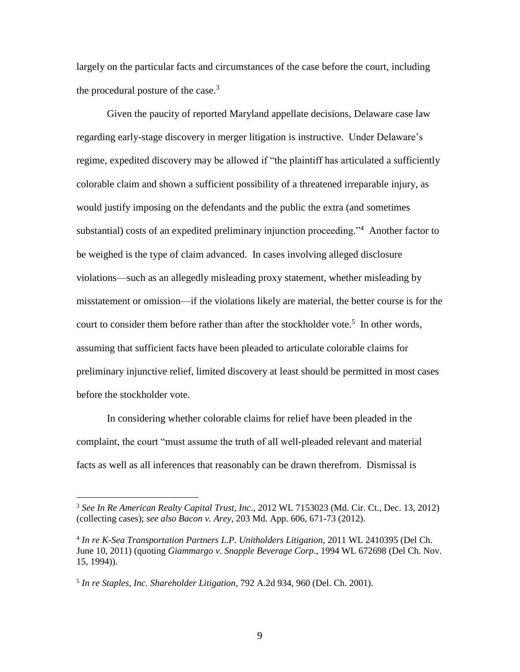largely on the particular facts and circumstances of the case before the court, including the procedural posture of the case.<sup>3</sup>

Given the paucity of reported Maryland appellate decisions, Delaware case law regarding early-stage discovery in merger litigation is instructive. Under Delaware's regime, expedited discovery may be allowed if "the plaintiff has articulated a sufficiently colorable claim and shown a sufficient possibility of a threatened irreparable injury, as would justify imposing on the defendants and the public the extra (and sometimes substantial) costs of an expedited preliminary injunction proceeding."<sup>4</sup> Another factor to be weighed is the type of claim advanced. In cases involving alleged disclosure violations—such as an allegedly misleading proxy statement, whether misleading by misstatement or omission—if the violations likely are material, the better course is for the court to consider them before rather than after the stockholder vote.<sup>5</sup> In other words, assuming that sufficient facts have been pleaded to articulate colorable claims for preliminary injunctive relief, limited discovery at least should be permitted in most cases before the stockholder vote.

In considering whether colorable claims for relief have been pleaded in the complaint, the court "must assume the truth of all well-pleaded relevant and material facts as well as all inferences that reasonably can be drawn therefrom. Dismissal is

<sup>3</sup> *See In Re American Realty Capital Trust, Inc*., 2012 WL 7153023 (Md. Cir. Ct., Dec. 13, 2012) (collecting cases); *see also Bacon v. Arey*, 203 Md. App. 606, 671-73 (2012).

<sup>4</sup> *In re K-Sea Transportation Partners L.P. Unitholders Litigation*, 2011 WL 2410395 (Del Ch. June 10, 2011) (quoting *Giammargo v. Snapple Beverage Corp*., 1994 WL 672698 (Del Ch. Nov. 15, 1994)).

<sup>5</sup> *In re Staples, Inc. Shareholder Litigation*, 792 A.2d 934, 960 (Del. Ch. 2001).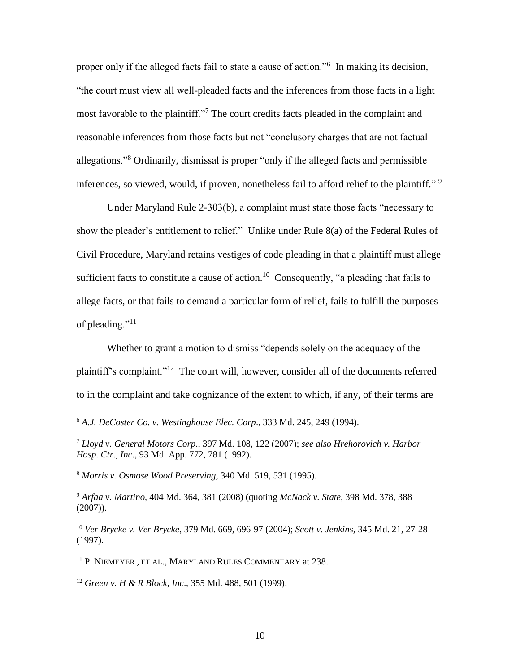proper only if the alleged facts fail to state a cause of action."<sup>6</sup> In making its decision, "the court must view all well-pleaded facts and the inferences from those facts in a light most favorable to the plaintiff."<sup>7</sup> The court credits facts pleaded in the complaint and reasonable inferences from those facts but not "conclusory charges that are not factual allegations."<sup>8</sup> Ordinarily, dismissal is proper "only if the alleged facts and permissible inferences, so viewed, would, if proven, nonetheless fail to afford relief to the plaintiff."<sup>9</sup>

Under Maryland Rule 2-303(b), a complaint must state those facts "necessary to show the pleader's entitlement to relief." Unlike under Rule 8(a) of the Federal Rules of Civil Procedure, Maryland retains vestiges of code pleading in that a plaintiff must allege sufficient facts to constitute a cause of action.<sup>10</sup> Consequently, "a pleading that fails to allege facts, or that fails to demand a particular form of relief, fails to fulfill the purposes of pleading."<sup>11</sup>

Whether to grant a motion to dismiss "depends solely on the adequacy of the plaintiff's complaint."<sup>12</sup> The court will, however, consider all of the documents referred to in the complaint and take cognizance of the extent to which, if any, of their terms are

<sup>8</sup> *Morris v. Osmose Wood Preserving*, 340 Md. 519, 531 (1995).

 $\overline{a}$ 

<sup>9</sup> *Arfaa v. Martino*, 404 Md. 364, 381 (2008) (quoting *McNack v. State*, 398 Md. 378, 388  $(2007)$ ).

<sup>10</sup> *Ver Brycke v. Ver Brycke*, 379 Md. 669, 696-97 (2004); *Scott v. Jenkins,* 345 Md. 21, 27-28 (1997).

<sup>11</sup> P. NIEMEYER, ET AL., MARYLAND RULES COMMENTARY at 238.

<sup>12</sup> *Green v. H & R Block, Inc*., 355 Md. 488, 501 (1999).

<sup>6</sup> *A.J. DeCoster Co. v. Westinghouse Elec. Corp*., 333 Md. 245, 249 (1994).

<sup>7</sup> *Lloyd v. General Motors Corp*., 397 Md. 108, 122 (2007); *see also Hrehorovich v. Harbor Hosp. Ctr., Inc*., 93 Md. App. 772, 781 (1992).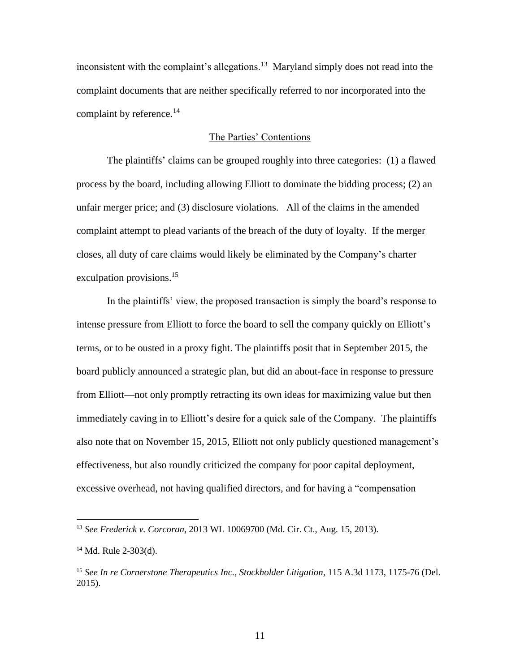inconsistent with the complaint's allegations.<sup>13</sup> Maryland simply does not read into the complaint documents that are neither specifically referred to nor incorporated into the complaint by reference.<sup>14</sup>

## The Parties' Contentions

The plaintiffs' claims can be grouped roughly into three categories: (1) a flawed process by the board, including allowing Elliott to dominate the bidding process; (2) an unfair merger price; and (3) disclosure violations. All of the claims in the amended complaint attempt to plead variants of the breach of the duty of loyalty. If the merger closes, all duty of care claims would likely be eliminated by the Company's charter exculpation provisions.<sup>15</sup>

In the plaintiffs' view, the proposed transaction is simply the board's response to intense pressure from Elliott to force the board to sell the company quickly on Elliott's terms, or to be ousted in a proxy fight. The plaintiffs posit that in September 2015, the board publicly announced a strategic plan, but did an about-face in response to pressure from Elliott—not only promptly retracting its own ideas for maximizing value but then immediately caving in to Elliott's desire for a quick sale of the Company. The plaintiffs also note that on November 15, 2015, Elliott not only publicly questioned management's effectiveness, but also roundly criticized the company for poor capital deployment, excessive overhead, not having qualified directors, and for having a "compensation

<sup>13</sup> *See Frederick v. Corcoran*, 2013 WL 10069700 (Md. Cir. Ct., Aug. 15, 2013).

<sup>14</sup> Md. Rule 2-303(d).

<sup>15</sup> *See In re Cornerstone Therapeutics Inc., Stockholder Litigation*, 115 A.3d 1173, 1175-76 (Del. 2015).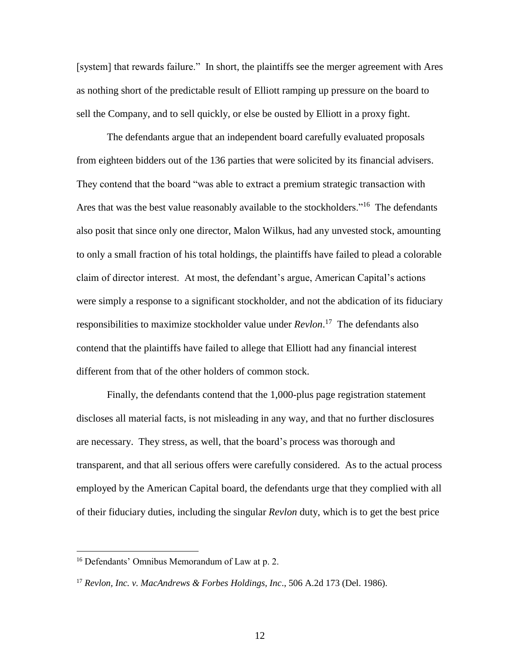[system] that rewards failure." In short, the plaintiffs see the merger agreement with Ares as nothing short of the predictable result of Elliott ramping up pressure on the board to sell the Company, and to sell quickly, or else be ousted by Elliott in a proxy fight.

The defendants argue that an independent board carefully evaluated proposals from eighteen bidders out of the 136 parties that were solicited by its financial advisers. They contend that the board "was able to extract a premium strategic transaction with Ares that was the best value reasonably available to the stockholders."<sup>16</sup> The defendants also posit that since only one director, Malon Wilkus, had any unvested stock, amounting to only a small fraction of his total holdings, the plaintiffs have failed to plead a colorable claim of director interest. At most, the defendant's argue, American Capital's actions were simply a response to a significant stockholder, and not the abdication of its fiduciary responsibilities to maximize stockholder value under *Revlon*. 17 The defendants also contend that the plaintiffs have failed to allege that Elliott had any financial interest different from that of the other holders of common stock.

Finally, the defendants contend that the 1,000-plus page registration statement discloses all material facts, is not misleading in any way, and that no further disclosures are necessary. They stress, as well, that the board's process was thorough and transparent, and that all serious offers were carefully considered. As to the actual process employed by the American Capital board, the defendants urge that they complied with all of their fiduciary duties, including the singular *Revlon* duty, which is to get the best price

<sup>16</sup> Defendants' Omnibus Memorandum of Law at p. 2.

<sup>17</sup> *Revlon, Inc. v. MacAndrews & Forbes Holdings, Inc*., 506 A.2d 173 (Del. 1986).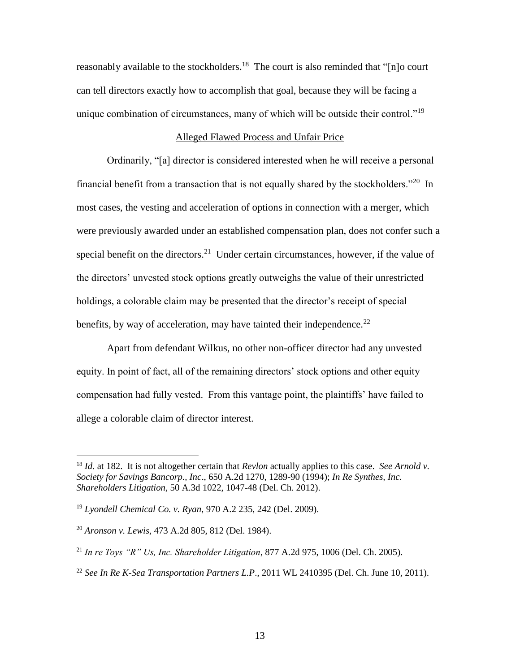reasonably available to the stockholders.<sup>18</sup> The court is also reminded that "[n]o court can tell directors exactly how to accomplish that goal, because they will be facing a unique combination of circumstances, many of which will be outside their control."<sup>19</sup>

## Alleged Flawed Process and Unfair Price

Ordinarily, "[a] director is considered interested when he will receive a personal financial benefit from a transaction that is not equally shared by the stockholders."<sup>20</sup> In most cases, the vesting and acceleration of options in connection with a merger, which were previously awarded under an established compensation plan, does not confer such a special benefit on the directors.<sup>21</sup> Under certain circumstances, however, if the value of the directors' unvested stock options greatly outweighs the value of their unrestricted holdings, a colorable claim may be presented that the director's receipt of special benefits, by way of acceleration, may have tainted their independence.<sup>22</sup>

Apart from defendant Wilkus, no other non-officer director had any unvested equity. In point of fact, all of the remaining directors' stock options and other equity compensation had fully vested. From this vantage point, the plaintiffs' have failed to allege a colorable claim of director interest.

<sup>18</sup> *Id.* at 182. It is not altogether certain that *Revlon* actually applies to this case. *See Arnold v. Society for Savings Bancorp., Inc*., 650 A.2d 1270, 1289-90 (1994); *In Re Synthes, Inc. Shareholders Litigation,* 50 A.3d 1022, 1047-48 (Del. Ch. 2012).

<sup>19</sup> *Lyondell Chemical Co. v. Ryan*, 970 A.2 235, 242 (Del. 2009).

<sup>20</sup> *Aronson v. Lewis*, 473 A.2d 805, 812 (Del. 1984).

<sup>21</sup> *In re Toys "R" Us, Inc. Shareholder Litigation*, 877 A.2d 975, 1006 (Del. Ch. 2005).

<sup>&</sup>lt;sup>22</sup> See In Re K-Sea Transportation Partners L.P., 2011 WL 2410395 (Del. Ch. June 10, 2011).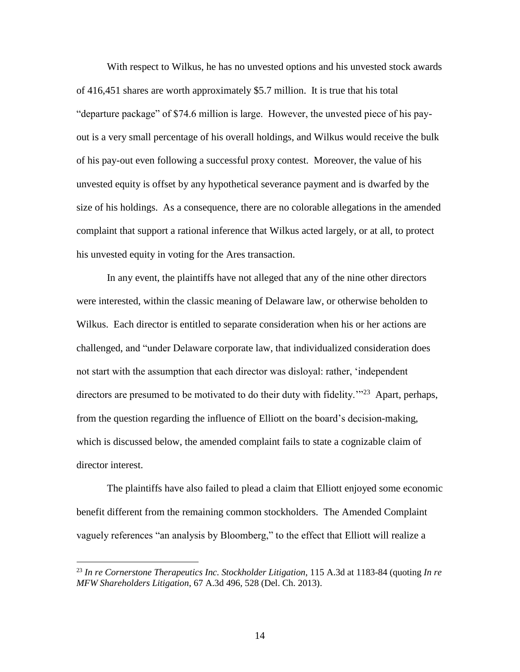With respect to Wilkus, he has no unvested options and his unvested stock awards of 416,451 shares are worth approximately \$5.7 million. It is true that his total "departure package" of \$74.6 million is large. However, the unvested piece of his payout is a very small percentage of his overall holdings, and Wilkus would receive the bulk of his pay-out even following a successful proxy contest. Moreover, the value of his unvested equity is offset by any hypothetical severance payment and is dwarfed by the size of his holdings. As a consequence, there are no colorable allegations in the amended complaint that support a rational inference that Wilkus acted largely, or at all, to protect his unvested equity in voting for the Ares transaction.

In any event, the plaintiffs have not alleged that any of the nine other directors were interested, within the classic meaning of Delaware law, or otherwise beholden to Wilkus. Each director is entitled to separate consideration when his or her actions are challenged, and "under Delaware corporate law, that individualized consideration does not start with the assumption that each director was disloyal: rather, 'independent directors are presumed to be motivated to do their duty with fidelity.<sup>'"23</sup> Apart, perhaps, from the question regarding the influence of Elliott on the board's decision-making, which is discussed below, the amended complaint fails to state a cognizable claim of director interest.

The plaintiffs have also failed to plead a claim that Elliott enjoyed some economic benefit different from the remaining common stockholders. The Amended Complaint vaguely references "an analysis by Bloomberg," to the effect that Elliott will realize a

<sup>23</sup> *In re Cornerstone Therapeutics Inc. Stockholder Litigation*, 115 A.3d at 1183-84 (quoting *In re MFW Shareholders Litigation*, 67 A.3d 496, 528 (Del. Ch. 2013).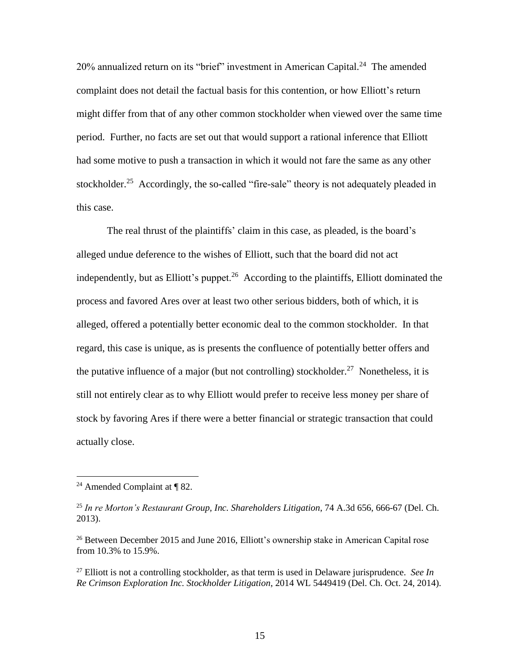20% annualized return on its "brief" investment in American Capital.<sup>24</sup> The amended complaint does not detail the factual basis for this contention, or how Elliott's return might differ from that of any other common stockholder when viewed over the same time period. Further, no facts are set out that would support a rational inference that Elliott had some motive to push a transaction in which it would not fare the same as any other stockholder.<sup>25</sup> Accordingly, the so-called "fire-sale" theory is not adequately pleaded in this case.

The real thrust of the plaintiffs' claim in this case, as pleaded, is the board's alleged undue deference to the wishes of Elliott, such that the board did not act independently, but as Elliott's puppet. $26$  According to the plaintiffs, Elliott dominated the process and favored Ares over at least two other serious bidders, both of which, it is alleged, offered a potentially better economic deal to the common stockholder. In that regard, this case is unique, as is presents the confluence of potentially better offers and the putative influence of a major (but not controlling) stockholder.<sup>27</sup> Nonetheless, it is still not entirely clear as to why Elliott would prefer to receive less money per share of stock by favoring Ares if there were a better financial or strategic transaction that could actually close.

<sup>&</sup>lt;sup>24</sup> Amended Complaint at  $\P$  82.

<sup>25</sup> *In re Morton's Restaurant Group, Inc. Shareholders Litigation*, 74 A.3d 656, 666-67 (Del. Ch. 2013).

 $^{26}$  Between December 2015 and June 2016, Elliott's ownership stake in American Capital rose from 10.3% to 15.9%.

<sup>&</sup>lt;sup>27</sup> Elliott is not a controlling stockholder, as that term is used in Delaware jurisprudence. *See In Re Crimson Exploration Inc. Stockholder Litigation*, 2014 WL 5449419 (Del. Ch. Oct. 24, 2014).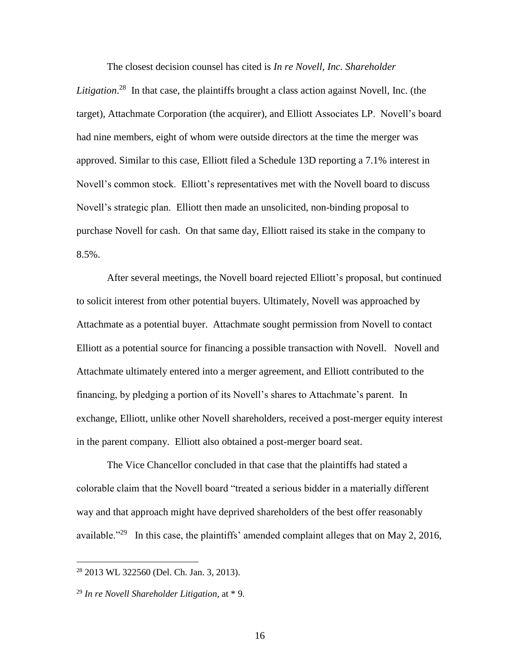The closest decision counsel has cited is *In re Novell, Inc. Shareholder* 

Litigation.<sup>28</sup> In that case, the plaintiffs brought a class action against Novell, Inc. (the target), Attachmate Corporation (the acquirer), and Elliott Associates LP. Novell's board had nine members, eight of whom were outside directors at the time the merger was approved. Similar to this case, Elliott filed a Schedule 13D reporting a 7.1% interest in Novell's common stock. Elliott's representatives met with the Novell board to discuss Novell's strategic plan. Elliott then made an unsolicited, non-binding proposal to purchase Novell for cash. On that same day, Elliott raised its stake in the company to 8.5%.

After several meetings, the Novell board rejected Elliott's proposal, but continued to solicit interest from other potential buyers. Ultimately, Novell was approached by Attachmate as a potential buyer. Attachmate sought permission from Novell to contact Elliott as a potential source for financing a possible transaction with Novell. Novell and Attachmate ultimately entered into a merger agreement, and Elliott contributed to the financing, by pledging a portion of its Novell's shares to Attachmate's parent. In exchange, Elliott, unlike other Novell shareholders, received a post-merger equity interest in the parent company. Elliott also obtained a post-merger board seat.

The Vice Chancellor concluded in that case that the plaintiffs had stated a colorable claim that the Novell board "treated a serious bidder in a materially different way and that approach might have deprived shareholders of the best offer reasonably available."<sup>29</sup> In this case, the plaintiffs' amended complaint alleges that on May 2, 2016,

<sup>28</sup> 2013 WL 322560 (Del. Ch. Jan. 3, 2013).

<sup>29</sup> *In re Novell Shareholder Litigation*, at \* 9.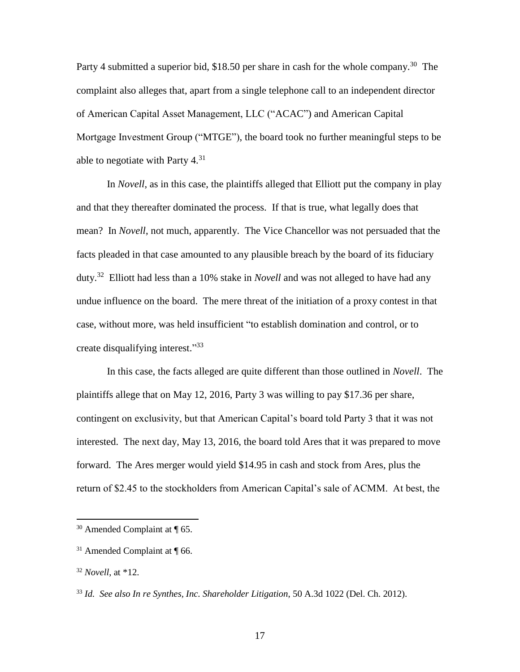Party 4 submitted a superior bid, \$18.50 per share in cash for the whole company.<sup>30</sup> The complaint also alleges that, apart from a single telephone call to an independent director of American Capital Asset Management, LLC ("ACAC") and American Capital Mortgage Investment Group ("MTGE"), the board took no further meaningful steps to be able to negotiate with Party  $4^{31}$ .

In *Novell*, as in this case, the plaintiffs alleged that Elliott put the company in play and that they thereafter dominated the process. If that is true, what legally does that mean? In *Novell*, not much, apparently. The Vice Chancellor was not persuaded that the facts pleaded in that case amounted to any plausible breach by the board of its fiduciary duty.<sup>32</sup> Elliott had less than a 10% stake in *Novell* and was not alleged to have had any undue influence on the board. The mere threat of the initiation of a proxy contest in that case, without more, was held insufficient "to establish domination and control, or to create disqualifying interest."33

In this case, the facts alleged are quite different than those outlined in *Novell*. The plaintiffs allege that on May 12, 2016, Party 3 was willing to pay \$17.36 per share, contingent on exclusivity, but that American Capital's board told Party 3 that it was not interested. The next day, May 13, 2016, the board told Ares that it was prepared to move forward. The Ares merger would yield \$14.95 in cash and stock from Ares, plus the return of \$2.45 to the stockholders from American Capital's sale of ACMM. At best, the

<sup>30</sup> Amended Complaint at ¶ 65.

 $31$  Amended Complaint at  $\P$  66.

<sup>32</sup> *Novell*, at \*12.

<sup>33</sup> *Id. See also In re Synthes, Inc. Shareholder Litigation*, 50 A.3d 1022 (Del. Ch. 2012).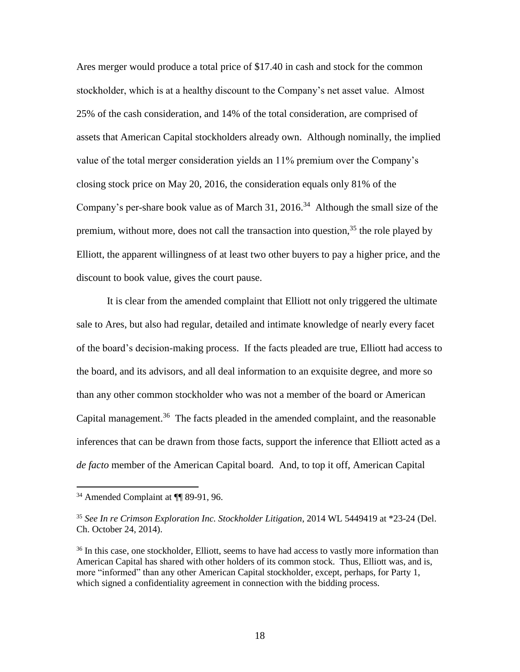Ares merger would produce a total price of \$17.40 in cash and stock for the common stockholder, which is at a healthy discount to the Company's net asset value. Almost 25% of the cash consideration, and 14% of the total consideration, are comprised of assets that American Capital stockholders already own. Although nominally, the implied value of the total merger consideration yields an 11% premium over the Company's closing stock price on May 20, 2016, the consideration equals only 81% of the Company's per-share book value as of March 31,  $2016<sup>34</sup>$  Although the small size of the premium, without more, does not call the transaction into question,  $3<sup>5</sup>$  the role played by Elliott, the apparent willingness of at least two other buyers to pay a higher price, and the discount to book value, gives the court pause.

It is clear from the amended complaint that Elliott not only triggered the ultimate sale to Ares, but also had regular, detailed and intimate knowledge of nearly every facet of the board's decision-making process. If the facts pleaded are true, Elliott had access to the board, and its advisors, and all deal information to an exquisite degree, and more so than any other common stockholder who was not a member of the board or American Capital management. 36 The facts pleaded in the amended complaint, and the reasonable inferences that can be drawn from those facts, support the inference that Elliott acted as a *de facto* member of the American Capital board. And, to top it off, American Capital

<sup>34</sup> Amended Complaint at ¶¶ 89-91, 96.

<sup>35</sup> *See In re Crimson Exploration Inc. Stockholder Litigation*, 2014 WL 5449419 at \*23-24 (Del. Ch. October 24, 2014).

<sup>&</sup>lt;sup>36</sup> In this case, one stockholder, Elliott, seems to have had access to vastly more information than American Capital has shared with other holders of its common stock. Thus, Elliott was, and is, more "informed" than any other American Capital stockholder, except, perhaps, for Party 1, which signed a confidentiality agreement in connection with the bidding process.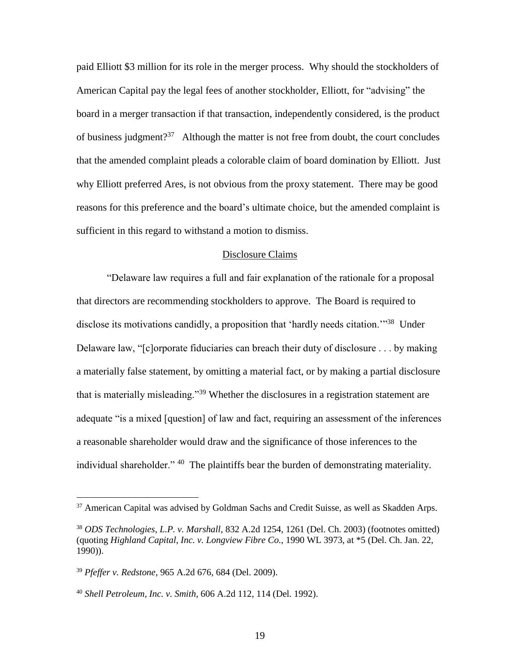paid Elliott \$3 million for its role in the merger process. Why should the stockholders of American Capital pay the legal fees of another stockholder, Elliott, for "advising" the board in a merger transaction if that transaction, independently considered, is the product of business judgment?<sup>37</sup> Although the matter is not free from doubt, the court concludes that the amended complaint pleads a colorable claim of board domination by Elliott. Just why Elliott preferred Ares, is not obvious from the proxy statement. There may be good reasons for this preference and the board's ultimate choice, but the amended complaint is sufficient in this regard to withstand a motion to dismiss.

## Disclosure Claims

"Delaware law requires a full and fair explanation of the rationale for a proposal that directors are recommending stockholders to approve. The Board is required to disclose its motivations candidly, a proposition that 'hardly needs citation.'"<sup>38</sup> Under Delaware law, "[c]orporate fiduciaries can breach their duty of disclosure . . . by making a materially false statement, by omitting a material fact, or by making a partial disclosure that is materially misleading."<sup>39</sup> Whether the disclosures in a registration statement are adequate "is a mixed [question] of law and fact, requiring an assessment of the inferences a reasonable shareholder would draw and the significance of those inferences to the individual shareholder." <sup>40</sup> The plaintiffs bear the burden of demonstrating materiality.

<sup>&</sup>lt;sup>37</sup> American Capital was advised by Goldman Sachs and Credit Suisse, as well as Skadden Arps.

<sup>38</sup> *ODS Technologies, L.P. v. Marshall*, 832 A.2d 1254, 1261 (Del. Ch. 2003) (footnotes omitted) (quoting *Highland Capital, Inc. v. Longview Fibre Co.*, 1990 WL 3973, at \*5 (Del. Ch. Jan. 22, 1990)).

<sup>39</sup> *Pfeffer v. Redstone*, 965 A.2d 676, 684 (Del. 2009).

<sup>40</sup> *Shell Petroleum, Inc. v. Smith*, 606 A.2d 112, 114 (Del. 1992).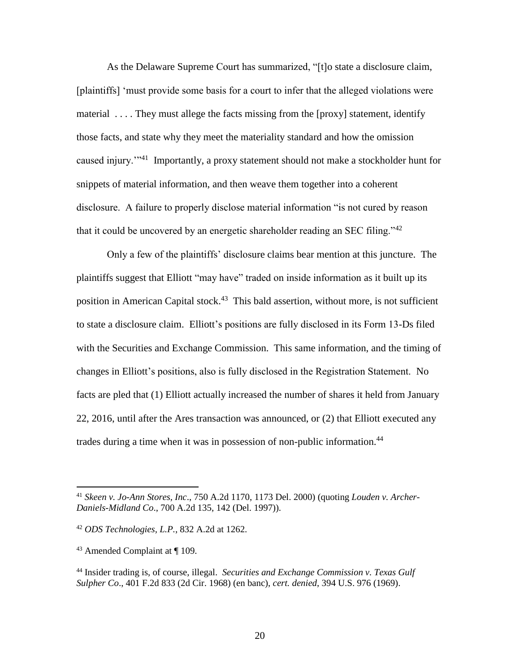As the Delaware Supreme Court has summarized, "[t]o state a disclosure claim, [plaintiffs] 'must provide some basis for a court to infer that the alleged violations were material .... They must allege the facts missing from the [proxy] statement, identify those facts, and state why they meet the materiality standard and how the omission caused injury."<sup>41</sup> Importantly, a proxy statement should not make a stockholder hunt for snippets of material information, and then weave them together into a coherent disclosure. A failure to properly disclose material information "is not cured by reason that it could be uncovered by an energetic shareholder reading an SEC filing."<sup>42</sup>

Only a few of the plaintiffs' disclosure claims bear mention at this juncture. The plaintiffs suggest that Elliott "may have" traded on inside information as it built up its position in American Capital stock.<sup>43</sup> This bald assertion, without more, is not sufficient to state a disclosure claim. Elliott's positions are fully disclosed in its Form 13-Ds filed with the Securities and Exchange Commission. This same information, and the timing of changes in Elliott's positions, also is fully disclosed in the Registration Statement. No facts are pled that (1) Elliott actually increased the number of shares it held from January 22, 2016, until after the Ares transaction was announced, or (2) that Elliott executed any trades during a time when it was in possession of non-public information.<sup>44</sup>

<sup>41</sup> *Skeen v. Jo-Ann Stores, Inc*., 750 A.2d 1170, 1173 Del. 2000) (quoting *Louden v. Archer-Daniels-Midland Co*., 700 A.2d 135, 142 (Del. 1997)).

<sup>42</sup> *ODS Technologies, L.P.*, 832 A.2d at 1262.

<sup>43</sup> Amended Complaint at ¶ 109.

<sup>44</sup> Insider trading is, of course, illegal. *Securities and Exchange Commission v. Texas Gulf Sulpher Co*., 401 F.2d 833 (2d Cir. 1968) (en banc), *cert. denied*, 394 U.S. 976 (1969).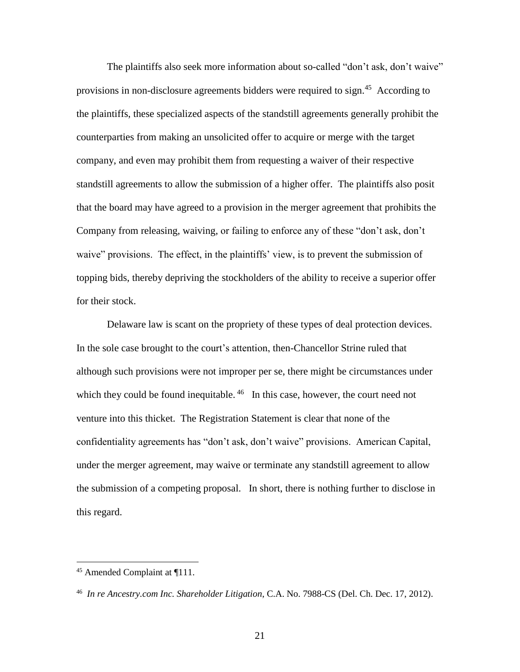The plaintiffs also seek more information about so-called "don't ask, don't waive" provisions in non-disclosure agreements bidders were required to sign.<sup>45</sup> According to the plaintiffs, these specialized aspects of the standstill agreements generally prohibit the counterparties from making an unsolicited offer to acquire or merge with the target company, and even may prohibit them from requesting a waiver of their respective standstill agreements to allow the submission of a higher offer. The plaintiffs also posit that the board may have agreed to a provision in the merger agreement that prohibits the Company from releasing, waiving, or failing to enforce any of these "don't ask, don't waive" provisions. The effect, in the plaintiffs' view, is to prevent the submission of topping bids, thereby depriving the stockholders of the ability to receive a superior offer for their stock.

Delaware law is scant on the propriety of these types of deal protection devices. In the sole case brought to the court's attention, then-Chancellor Strine ruled that although such provisions were not improper per se, there might be circumstances under which they could be found inequitable.  $46$  In this case, however, the court need not venture into this thicket. The Registration Statement is clear that none of the confidentiality agreements has "don't ask, don't waive" provisions. American Capital, under the merger agreement, may waive or terminate any standstill agreement to allow the submission of a competing proposal. In short, there is nothing further to disclose in this regard.

<sup>45</sup> Amended Complaint at ¶111.

<sup>46</sup> *In re Ancestry.com Inc. Shareholder Litigation*, C.A. No. 7988-CS (Del. Ch. Dec. 17, 2012).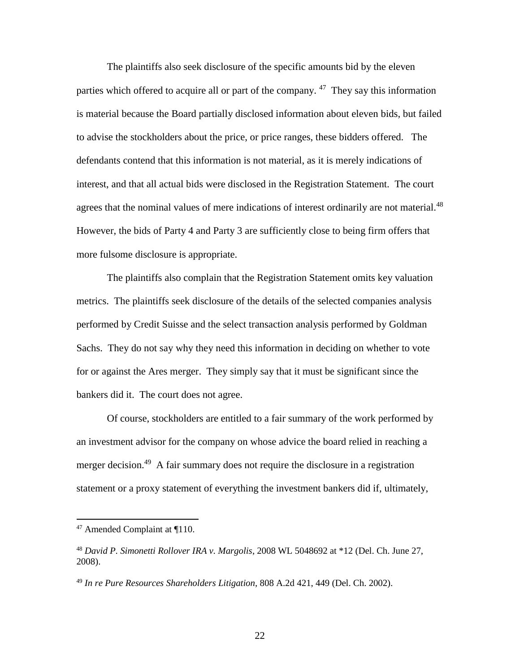The plaintiffs also seek disclosure of the specific amounts bid by the eleven parties which offered to acquire all or part of the company.<sup>47</sup> They say this information is material because the Board partially disclosed information about eleven bids, but failed to advise the stockholders about the price, or price ranges, these bidders offered. The defendants contend that this information is not material, as it is merely indications of interest, and that all actual bids were disclosed in the Registration Statement. The court agrees that the nominal values of mere indications of interest ordinarily are not material.<sup>48</sup> However, the bids of Party 4 and Party 3 are sufficiently close to being firm offers that more fulsome disclosure is appropriate.

The plaintiffs also complain that the Registration Statement omits key valuation metrics. The plaintiffs seek disclosure of the details of the selected companies analysis performed by Credit Suisse and the select transaction analysis performed by Goldman Sachs. They do not say why they need this information in deciding on whether to vote for or against the Ares merger. They simply say that it must be significant since the bankers did it. The court does not agree.

Of course, stockholders are entitled to a fair summary of the work performed by an investment advisor for the company on whose advice the board relied in reaching a merger decision.<sup>49</sup> A fair summary does not require the disclosure in a registration statement or a proxy statement of everything the investment bankers did if, ultimately,

 $47$  Amended Complaint at  $\P$ 110.

<sup>48</sup> *David P. Simonetti Rollover IRA v. Margolis*, 2008 WL 5048692 at \*12 (Del. Ch. June 27, 2008).

<sup>49</sup> *In re Pure Resources Shareholders Litigation*, 808 A.2d 421, 449 (Del. Ch. 2002).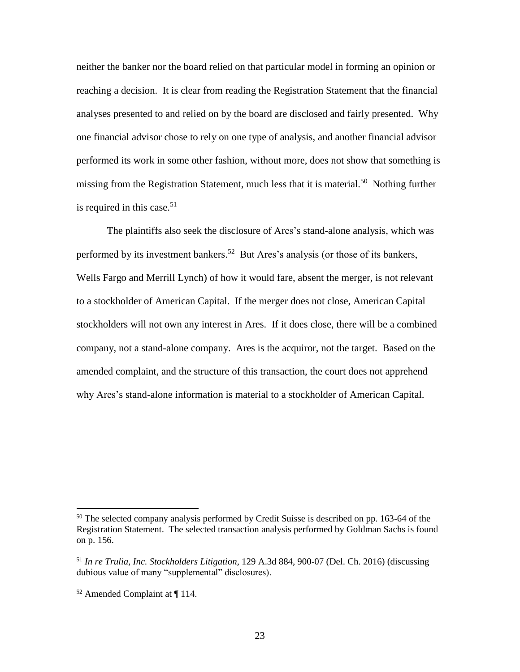neither the banker nor the board relied on that particular model in forming an opinion or reaching a decision. It is clear from reading the Registration Statement that the financial analyses presented to and relied on by the board are disclosed and fairly presented. Why one financial advisor chose to rely on one type of analysis, and another financial advisor performed its work in some other fashion, without more, does not show that something is missing from the Registration Statement, much less that it is material.<sup>50</sup> Nothing further is required in this case. $51$ 

The plaintiffs also seek the disclosure of Ares's stand-alone analysis, which was performed by its investment bankers. 52 But Ares's analysis (or those of its bankers, Wells Fargo and Merrill Lynch) of how it would fare, absent the merger, is not relevant to a stockholder of American Capital. If the merger does not close, American Capital stockholders will not own any interest in Ares. If it does close, there will be a combined company, not a stand-alone company. Ares is the acquiror, not the target. Based on the amended complaint, and the structure of this transaction, the court does not apprehend why Ares's stand-alone information is material to a stockholder of American Capital.

<sup>&</sup>lt;sup>50</sup> The selected company analysis performed by Credit Suisse is described on pp. 163-64 of the Registration Statement. The selected transaction analysis performed by Goldman Sachs is found on p. 156.

<sup>51</sup> *In re Trulia, Inc. Stockholders Litigation*, 129 A.3d 884, 900-07 (Del. Ch. 2016) (discussing dubious value of many "supplemental" disclosures).

<sup>52</sup> Amended Complaint at ¶ 114.